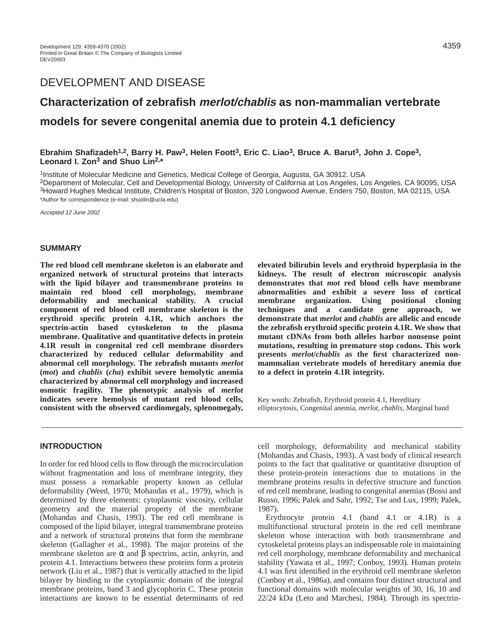# DEVELOPMENT AND DISEASE

# **Characterization of zebrafish merlot/chablis as non-mammalian vertebrate models for severe congenital anemia due to protein 4.1 deficiency**

# **Ebrahim Shafizadeh1,2, Barry H. Paw3, Helen Foott3, Eric C. Liao3, Bruce A. Barut3, John J. Cope3, Leonard I. Zon3 and Shuo Lin2,\***

1Institute of Molecular Medicine and Genetics, Medical College of Georgia, Augusta, GA 30912. USA 2Department of Molecular, Cell and Developmental Biology, University of California at Los Angeles, Los Angeles, CA 90095, USA 3Howard Hughes Medical Institute, Children's Hospital of Boston, 320 Longwood Avenue, Enders 750, Boston, MA 02115, USA \*Author for correspondence (e-mail: shuolin@ucla.edu)

Accepted 12 June 2002

#### **SUMMARY**

**The red blood cell membrane skeleton is an elaborate and organized network of structural proteins that interacts with the lipid bilayer and transmembrane proteins to maintain red blood cell morphology, membrane deformability and mechanical stability. A crucial component of red blood cell membrane skeleton is the erythroid specific protein 4.1R, which anchors the spectrin-actin based cytoskeleton to the plasma membrane. Qualitative and quantitative defects in protein 4.1R result in congenital red cell membrane disorders characterized by reduced cellular deformability and abnormal cell morphology. The zebrafish mutants** *merlot* **(***mot***) and** *chablis* **(***cha***) exhibit severe hemolytic anemia characterized by abnormal cell morphology and increased osmotic fragility. The phenotypic analysis of** *merlot* **indicates severe hemolysis of mutant red blood cells, consistent with the observed cardiomegaly, splenomegaly,** **elevated bilirubin levels and erythroid hyperplasia in the kidneys. The result of electron microscopic analysis demonstrates that** *mot* **red blood cells have membrane abnormalities and exhibit a severe loss of cortical membrane organization. Using positional cloning techniques and a candidate gene approach, we demonstrate that** *merlot* **and** *chablis* **are allelic and encode the zebrafish erythroid specific protein 4.1R. We show that mutant cDNAs from both alleles harbor nonsense point mutations, resulting in premature stop codons. This work presents** *merlot***/***chablis* **as the first characterized nonmammalian vertebrate models of hereditary anemia due to a defect in protein 4.1R integrity.** 

Key words: Zebrafish, Erythroid protein 4.1, Hereditary elliptocytosis, Congenital anemia, *merlot, chablis*, Marginal band

# **INTRODUCTION**

In order for red blood cells to flow through the microcirculation without fragmentation and loss of membrane integrity, they must possess a remarkable property known as cellular deformability (Weed, 1970; Mohandas et al., 1979), which is determined by three elements: cytoplasmic viscosity, cellular geometry and the material property of the membrane (Mohandas and Chasis, 1993). The red cell membrane is composed of the lipid bilayer, integral transmembrane proteins and a network of structural proteins that form the membrane skeleton (Gallagher et al., 1998). The major proteins of the membrane skeleton are  $\alpha$  and  $\beta$  spectrins, actin, ankyrin, and protein 4.1. Interactions between these proteins form a protein network (Liu et al., 1987) that is vertically attached to the lipid bilayer by binding to the cytoplasmic domain of the integral membrane proteins, band 3 and glycophorin C. These protein interactions are known to be essential determinants of red

cell morphology, deformability and mechanical stability (Mohandas and Chasis, 1993). A vast body of clinical research points to the fact that qualitative or quantitative disruption of these protein-protein interactions due to mutations in the membrane proteins results in defective structure and function of red cell membrane, leading to congenital anemias (Bossi and Russo, 1996; Palek and Sahr, 1992; Tse and Lux, 1999; Palek, 1987).

Erythrocyte protein 4.1 (band 4.1 or 4.1R) is a multifunctional structural protein in the red cell membrane skeleton whose interaction with both transmembrane and cytoskeletal proteins plays an indispensable role in maintaining red cell morphology, membrane deformability and mechanical stability (Yawata et al., 1997; Conboy, 1993). Human protein 4.1 was first identified in the erythroid cell membrane skeleton (Conboy et al., 1986a), and contains four distinct structural and functional domains with molecular weights of 30, 16, 10 and 22/24 kDa (Leto and Marchesi, 1984). Through its spectrin-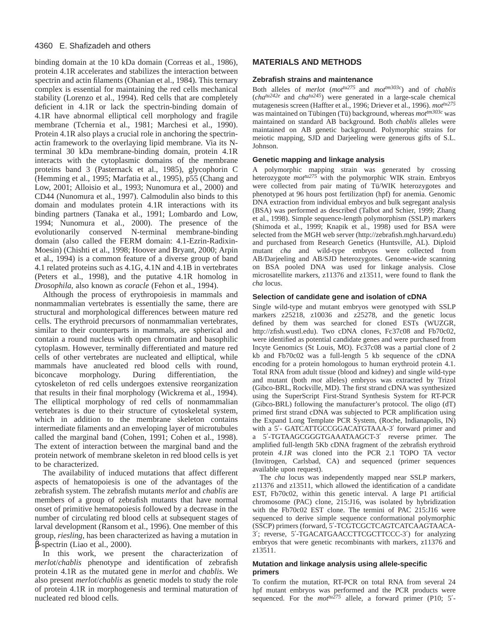binding domain at the 10 kDa domain (Correas et al., 1986), protein 4.1R accelerates and stabilizes the interaction between spectrin and actin filaments (Ohanian et al., 1984). This ternary complex is essential for maintaining the red cells mechanical stability (Lorenzo et al., 1994). Red cells that are completely deficient in 4.1R or lack the spectrin-binding domain of 4.1R have abnormal elliptical cell morphology and fragile membrane (Tchernia et al., 1981; Marchesi et al., 1990). Protein 4.1R also plays a crucial role in anchoring the spectrinactin framework to the overlaying lipid membrane. Via its Nterminal 30 kDa membrane-binding domain, protein 4.1R interacts with the cytoplasmic domains of the membrane proteins band 3 (Pasternack et al., 1985), glycophorin C (Hemming et al., 1995; Marfatia et al., 1995), p55 (Chang and Low, 2001; Alloisio et al., 1993; Nunomura et al., 2000) and CD44 (Nunomura et al., 1997). Calmodulin also binds to this domain and modulates protein 4.1R interactions with its binding partners (Tanaka et al., 1991; Lombardo and Low, 1994; Nunomura et al., 2000). The presence of the evolutionarily conserved N-terminal membrane-binding domain (also called the FERM domain: 4.1-Ezrin-Radixin-Moesin) (Chishti et al., 1998; Hoover and Bryant, 2000; Arpin et al., 1994) is a common feature of a diverse group of band 4.1 related proteins such as 4.1G, 4.1N and 4.1B in vertebrates (Peters et al., 1998), and the putative 4.1R homolog in *Drosophila,* also known as *coracle* (Fehon et al., 1994).

Although the process of erythropoiesis in mammals and nonmammalian vertebrates is essentially the same, there are structural and morphological differences between mature red cells. The erythroid precursors of nonmammalian vertebrates, similar to their counterparts in mammals, are spherical and contain a round nucleus with open chromatin and basophilic cytoplasm. However, terminally differentiated and mature red cells of other vertebrates are nucleated and elliptical, while mammals have anucleated red blood cells with round, biconcave morphology. During differentiation, the cytoskeleton of red cells undergoes extensive reorganization that results in their final morphology (Wickrema et al., 1994). The elliptical morphology of red cells of nonmammalian vertebrates is due to their structure of cytoskeletal system, which in addition to the membrane skeleton contains intermediate filaments and an enveloping layer of microtubules called the marginal band (Cohen, 1991; Cohen et al., 1998). The extent of interaction between the marginal band and the protein network of membrane skeleton in red blood cells is yet to be characterized.

The availability of induced mutations that affect different aspects of hematopoiesis is one of the advantages of the zebrafish system. The zebrafish mutants *merlot* and *chablis* are members of a group of zebrafish mutants that have normal onset of primitive hematopoiesis followed by a decrease in the number of circulating red blood cells at subsequent stages of larval development (Ransom et al., 1996). One member of this group, *riesling*, has been characterized as having a mutation in β-spectrin (Liao et al., 2000).

In this work, we present the characterization of *merlot*/*chablis* phenotype and identification of zebrafish protein 4.1R as the mutated gene in *merlot* and *chablis*. We also present *merlot*/*chablis* as genetic models to study the role of protein 4.1R in morphogenesis and terminal maturation of nucleated red blood cells.

# **MATERIALS AND METHODS**

#### **Zebrafish strains and maintenance**

Both alleles of *merlot* (*mottu275* and *mottm303c*) and of *chablis* (*chatu242e* and *chatu245*) were generated in a large-scale chemical mutagenesis screen (Haffter et al., 1996; Driever et al., 1996). *mottu275* was maintained on Tübingen (Tü) background, whereas  $mot^{tm303c}$  was maintained on standard AB background. Both *chablis* alleles were maintained on AB genetic background. Polymorphic strains for meiotic mapping, SJD and Darjeeling were generous gifts of S.L. Johnson.

#### **Genetic mapping and linkage analysis**

A polymorphic mapping strain was generated by crossing heterozygote  $mot^{tu275}$  with the polymorphic WIK strain. Embryos were collected from pair mating of Tü/WIK heterozygotes and phenotyped at 96 hours post fertilization (hpf) for anemia. Genomic DNA extraction from individual embryos and bulk segregant analysis (BSA) was performed as described (Talbot and Schier, 1999; Zhang et al., 1998). Simple sequence-length polymorphism (SSLP) markers (Shimoda et al., 1999; Knapik et al., 1998) used for BSA were selected from the MGH web server [\(http://zebrafish.mgh.harvard.edu\)](http://zebrafish.mgh.harvard.edu) and purchased from Research Genetics (Huntsville, AL). Diploid mutant *cha* and wild-type embryos were collected from AB/Darjeeling and AB/SJD heterozygotes. Genome-wide scanning on BSA pooled DNA was used for linkage analysis. Close microsatellite markers, z11376 and z13511, were found to flank the *cha* locus.

#### **Selection of candidate gene and isolation of cDNA**

Single wild-type and mutant embryos were genotyped with SSLP markers z25218, z10036 and z25278, and the genetic locus defined by them was searched for cloned ESTs (WUZGR, [http://zfish.wustl.edu\).](http://zfish.wustl.edu) Two cDNA clones, Fc37c08 and Fb70c02, were identified as potential candidate genes and were purchased from Incyte Genomics (St Louis, MO). Fc37c08 was a partial clone of 2 kb and Fb70c02 was a full-length 5 kb sequence of the cDNA encoding for a protein homologous to human erythroid protein 4.1. Total RNA from adult tissue (blood and kidney) and single wild-type and mutant (both *mot* alleles) embryos was extracted by Trizol (Gibco-BRL, Rockville, MD). The first strand cDNA was synthesized using the SuperScript First-Strand Synthesis System for RT-PCR (Gibco-BRL) following the manufacturer's protocol. The oligo (dT) primed first strand cDNA was subjected to PCR amplification using the Expand Long Template PCR System, (Roche, Indianapolis, IN) with a 5′- GATCATTGCCGGACATGTAAA-3′ forward primer and a 5′-TGTAAGCGGGTGAAATAAGCT-3′ reverse primer. The amplified full-length 5Kb cDNA fragment of the zebrafish erythroid protein *4.1R* was cloned into the PCR 2.1 TOPO TA vector (Invitrogen, Carlsbad, CA) and sequenced (primer sequences available upon request).

The *cha* locus was independently mapped near SSLP markers, z11376 and z13511, which allowed the identification of a candidate EST, Fb70c02, within this genetic interval. A large P1 artificial chromosome (PAC) clone, 215:J16, was isolated by hybridization with the Fb70c02 EST clone. The termini of PAC 215:J16 were sequenced to derive simple sequence conformational polymorphic (SSCP) primers (forward, 5′-TCGTCGCTCAGTCATCAAGTAACA-3′; reverse, 5′-TGACATGAACCTTCGCTTCCC-3′) for analyzing embryos that were genetic recombinants with markers, z11376 and z13511.

#### **Mutation and linkage analysis using allele-specific primers**

To confirm the mutation, RT-PCR on total RNA from several 24 hpf mutant embryos was performed and the PCR products were sequenced. For the  $mot<sup>tu275</sup>$  allele, a forward primer (P10; 5'-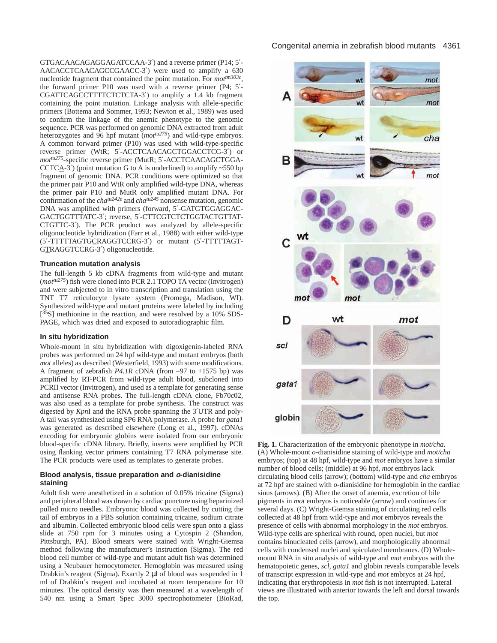GTGACAACAGAGGAGATCCAA-3′) and a reverse primer (P14; 5′- AACACCTCAACAGCCGAACC-3′) were used to amplify a 630 nucleotide fragment that contained the point mutation. For *mottm303c*, the forward primer P10 was used with a reverse primer (P4; 5′- CGATTCAGCCTTTTCTCTCTA-3′) to amplify a 1.4 kb fragment containing the point mutation. Linkage analysis with allele-specific primers (Bottema and Sommer, 1993; Newton et al., 1989) was used to confirm the linkage of the anemic phenotype to the genomic sequence. PCR was performed on genomic DNA extracted from adult heterozygotes and 96 hpf mutant (*mottu275*) and wild-type embryos. A common forward primer (P10) was used with wild-type-specific reverse primer (WtR; 5′-ACCTCAACAGCTGGACCTCG-3′) or *mottu275*-specific reverse primer (MutR; 5′-ACCTCAACAGCTGGA-CCTC $\overline{A}$ -3<sup>'</sup>) (point mutation G to A is underlined) to amplify ~550 bp fragment of genomic DNA. PCR conditions were optimized so that the primer pair P10 and WtR only amplified wild-type DNA, whereas the primer pair P10 and MutR only amplified mutant DNA. For confirmation of the *cha<sup>tu242e</sup>* and *cha<sup>tu245</sup>* nonsense mutation, genomic DNA was amplified with primers (forward, 5′-GATGTGGAGGAC-GACTGGTTTATC-3′; reverse, 5′-CTTCGTCTCTGGTACTGTTAT-CTGTTC-3′). The PCR product was analyzed by allele-specific oligonucleotide hybridization (Farr et al., 1988) with either wild-type (5′-TTTTTAGTGCRAGGTCCRG-3′) or mutant (5′-TTTTTAGT-GTRAGGTCCRG-3′) oligonucleotide.

#### **Truncation mutation analysis**

The full-length 5 kb cDNA fragments from wild-type and mutant (*mottu275*) fish were cloned into PCR 2.1 TOPO TA vector (Invitrogen) and were subjected to in vitro transcription and translation using the TNT T7 reticulocyte lysate system (Promega, Madison, WI). Synthesized wild-type and mutant proteins were labeled by including [<sup>35</sup>S] methionine in the reaction, and were resolved by a 10% SDS-PAGE, which was dried and exposed to autoradiographic film.

#### **In situ hybridization**

Whole-mount in situ hybridization with digoxigenin-labeled RNA probes was performed on 24 hpf wild-type and mutant embryos (both *mot* alleles) as described (Westerfield, 1993) with some modifications. A fragment of zebrafish *P4.1R* cDNA (from –97 to +1575 bp) was amplified by RT-PCR from wild-type adult blood, subcloned into PCRII vector (Invitrogen), and used as a template for generating sense and antisense RNA probes. The full-length cDNA clone, Fb70c02, was also used as a template for probe synthesis. The construct was digested by *Kpn*I and the RNA probe spanning the 3′UTR and poly-A tail was synthesized using SP6 RNA polymerase. A probe for *gata1* was generated as described elsewhere (Long et al., 1997). cDNAs encoding for embryonic globins were isolated from our embryonic blood-specific cDNA library. Briefly, inserts were amplified by PCR using flanking vector primers containing T7 RNA polymerase site. The PCR products were used as templates to generate probes.

#### **Blood analysis, tissue preparation and o-dianisidine staining**

Adult fish were anesthetized in a solution of 0.05% tricaine (Sigma) and peripheral blood was drawn by cardiac puncture using heparinized pulled micro needles. Embryonic blood was collected by cutting the tail of embryos in a PBS solution containing tricaine, sodium citrate and albumin. Collected embryonic blood cells were spun onto a glass slide at 750 rpm for 3 minutes using a Cytospin 2 (Shandon, Pittsburgh, PA). Blood smears were stained with Wright-Giemsa method following the manufacturer's instruction (Sigma). The red blood cell number of wild-type and mutant adult fish was determined using a Neubauer hemocytometer. Hemoglobin was measured using Drabkin's reagent (Sigma). Exactly 2 µl of blood was suspended in 1 ml of Drabkin's reagent and incubated at room temperature for 10 minutes. The optical density was then measured at a wavelength of 540 nm using a Smart Spec 3000 spectrophotometer (BioRad,



**Fig. 1.** Characterization of the embryonic phenotype in *mot/cha*. (A) Whole-mount *o*-dianisidine staining of wild-type and *mot/cha* embryos; (top) at 48 hpf, wild-type and *mot* embryos have a similar number of blood cells; (middle) at 96 hpf, *mot* embryos lack circulating blood cells (arrow); (bottom) wild-type and *cha* embryos at 72 hpf are stained with *o*-dianisidine for hemoglobin in the cardiac sinus (arrows). (B) After the onset of anemia, excretion of bile pigments in *mot* embryos is noticeable (arrow) and continues for several days. (C) Wright-Giemsa staining of circulating red cells collected at 48 hpf from wild-type and *mot* embryos reveals the presence of cells with abnormal morphology in the *mot* embryos. Wild-type cells are spherical with round, open nuclei, but *mot* contains binucleated cells (arrow), and morphologically abnormal cells with condensed nuclei and spiculated membranes. (D) Wholemount RNA in situ analysis of wild-type and *mot* embryos with the hematopoietic genes, *scl, gata1* and globin reveals comparable levels of transcript expression in wild-type and *mot* embryos at 24 hpf, indicating that erythropoiesis in *mot* fish is not interrupted. Lateral views are illustrated with anterior towards the left and dorsal towards the top.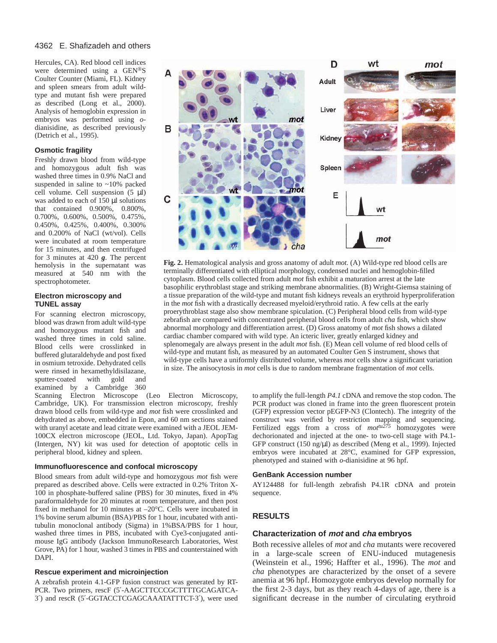Hercules, CA). Red blood cell indices were determined using a GEN®S Coulter Counter (Miami, FL). Kidney and spleen smears from adult wildtype and mutant fish were prepared as described (Long et al., 2000). Analysis of hemoglobin expression in embryos was performed using *o*dianisidine, as described previously (Detrich et al., 1995).

#### **Osmotic fragility**

Freshly drawn blood from wild-type and homozygous adult fish was washed three times in 0.9% NaCl and suspended in saline to ~10% packed cell volume. Cell suspension (5 µl) was added to each of 150 µl solutions that contained 0.900%, 0.800%, 0.700%, 0.600%, 0.500%, 0.475%, 0.450%, 0.425%, 0.400%, 0.300% and 0.200% of NaCl (wt/vol). Cells were incubated at room temperature for 15 minutes, and then centrifuged for 3 minutes at 420 *g*. The percent hemolysis in the supernatant was measured at 540 nm with the spectrophotometer.

#### **Electron microscopy and TUNEL assay**

For scanning electron microscopy, blood was drawn from adult wild-type and homozygous mutant fish and washed three times in cold saline. Blood cells were crosslinked in buffered glutaraldehyde and post fixed in osmium tetroxide. Dehydrated cells were rinsed in hexamethyldisilazane, sputter-coated with gold and examined by a Cambridge 360

Scanning Electron Microscope (Leo Electron Microscopy, Cambridge, UK). For transmission electron microscopy, freshly drawn blood cells from wild-type and *mot* fish were crosslinked and dehydrated as above, embedded in Epon, and 60 nm sections stained with uranyl acetate and lead citrate were examined with a JEOL JEM-100CX electron microscope (JEOL, Ltd. Tokyo, Japan). ApopTag (Intergen, NY) kit was used for detection of apoptotic cells in peripheral blood, kidney and spleen.

#### **Immunofluorescence and confocal microscopy**

Blood smears from adult wild-type and homozygous *mot* fish were prepared as described above. Cells were extracted in 0.2% Triton X-100 in phosphate-buffered saline (PBS) for 30 minutes, fixed in 4% paraformaldehyde for 20 minutes at room temperature, and then post fixed in methanol for 10 minutes at –20°C. Cells were incubated in 1% bovine serum albumin (BSA)/PBS for 1 hour, incubated with antitubulin monoclonal antibody (Sigma) in 1%BSA/PBS for 1 hour, washed three times in PBS, incubated with Cye3-conjugated antimouse IgG antibody (Jackson ImmunoResearch Laboratories, West Grove, PA) for 1 hour, washed 3 times in PBS and counterstained with DAPI.

#### **Rescue experiment and microinjection**

A zebrafish protein 4.1-GFP fusion construct was generated by RT-PCR. Two primers, rescF (5'-AAGCTTCCCGCTTTTGCAGATCA-3′) and rescR (5′-GGTACCTCGAGCAAATATTTCT-3′), were used



**Fig. 2.** Hematological analysis and gross anatomy of adult *mot.* (A) Wild-type red blood cells are terminally differentiated with elliptical morphology, condensed nuclei and hemoglobin-filled cytoplasm. Blood cells collected from adult *mot* fish exhibit a maturation arrest at the late basophilic erythroblast stage and striking membrane abnormalities. (B) Wright-Giemsa staining of a tissue preparation of the wild-type and mutant fish kidneys reveals an erythroid hyperproliferation in the *mot* fish with a drastically decreased myeloid/erythroid ratio. A few cells at the early proerythroblast stage also show membrane spiculation. (C) Peripheral blood cells from wild-type zebrafish are compared with concentrated peripheral blood cells from adult *cha* fish, which show abnormal morphology and differentiation arrest. (D) Gross anatomy of *mot* fish shows a dilated cardiac chamber compared with wild type. An icteric liver, greatly enlarged kidney and splenomegaly are always present in the adult *mot* fish. (E) Mean cell volume of red blood cells of wild-type and mutant fish, as measured by an automated Coulter Gen S instrument, shows that wild-type cells have a uniformly distributed volume, whereas *mot* cells show a significant variation in size. The anisocytosis in *mot* cells is due to random membrane fragmentation of *mot* cells.

> to amplify the full-length *P4.1* cDNA and remove the stop codon. The PCR product was cloned in frame into the green fluorescent protein (GFP) expression vector pEGFP-N3 (Clontech). The integrity of the construct was verified by restriction mapping and sequencing. Fertilized eggs from a cross of  $mot<sup>tu275</sup>$  homozygotes were dechorionated and injected at the one- to two-cell stage with P4.1- GFP construct (150 ng/µl) as described (Meng et al., 1999). Injected embryos were incubated at 28°C, examined for GFP expression, phenotyped and stained with *o*-dianisidine at 96 hpf.

#### **GenBank Accession number**

AY124488 for full-length zebrafish P4.1R cDNA and protein sequence.

# **RESULTS**

#### **Characterization of mot and cha embryos**

Both recessive alleles of *mot* and *cha* mutants were recovered in a large-scale screen of ENU-induced mutagenesis (Weinstein et al., 1996; Haffter et al., 1996). The *mot* and *cha* phenotypes are characterized by the onset of a severe anemia at 96 hpf. Homozygote embryos develop normally for the first 2-3 days, but as they reach 4-days of age, there is a significant decrease in the number of circulating erythroid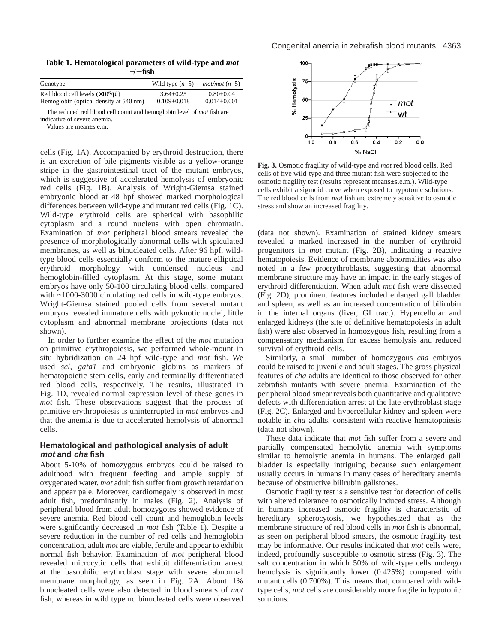**Table 1. Hematological parameters of wild-type and** *mot* −**/**− **fish**

| Genotype                                                                                                     | Wild type $(n=5)$                  | $mot/mol$ ( $n=5$ )              |
|--------------------------------------------------------------------------------------------------------------|------------------------------------|----------------------------------|
| Red blood cell levels $(\times 10^6/\mu l)$<br>Hemoglobin (optical density at 540 nm)                        | $3.64 + 0.25$<br>$0.109 \pm 0.018$ | $0.80 + 0.04$<br>$0.014 + 0.001$ |
| The reduced red blood cell count and hemoglobin level of <i>mot</i> fish are<br>indicative of severe anemia. |                                    |                                  |

Values are mean±s.e.m.

cells (Fig. 1A). Accompanied by erythroid destruction, there is an excretion of bile pigments visible as a yellow-orange stripe in the gastrointestinal tract of the mutant embryos, which is suggestive of accelerated hemolysis of embryonic red cells (Fig. 1B). Analysis of Wright-Giemsa stained embryonic blood at 48 hpf showed marked morphological differences between wild-type and mutant red cells (Fig. 1C). Wild-type erythroid cells are spherical with basophilic cytoplasm and a round nucleus with open chromatin. Examination of *mot* peripheral blood smears revealed the presence of morphologically abnormal cells with spiculated membranes, as well as binucleated cells. After 96 hpf, wildtype blood cells essentially conform to the mature elliptical erythroid morphology with condensed nucleus and hemoglobin-filled cytoplasm. At this stage, some mutant embryos have only 50-100 circulating blood cells, compared with ~1000-3000 circulating red cells in wild-type embryos. Wright-Giemsa stained pooled cells from several mutant embryos revealed immature cells with pyknotic nuclei, little cytoplasm and abnormal membrane projections (data not shown).

In order to further examine the effect of the *mot* mutation on primitive erythropoiesis, we performed whole-mount in situ hybridization on 24 hpf wild-type and *mot* fish. We used *scl, gata1* and embryonic globins as markers of hematopoietic stem cells, early and terminally differentiated red blood cells, respectively. The results, illustrated in Fig. 1D, revealed normal expression level of these genes in *mot* fish. These observations suggest that the process of primitive erythropoiesis is uninterrupted in *mot* embryos and that the anemia is due to accelerated hemolysis of abnormal cells.

# **Hematological and pathological analysis of adult mot and cha fish**

About 5-10% of homozygous embryos could be raised to adulthood with frequent feeding and ample supply of oxygenated water. *mot* adult fish suffer from growth retardation and appear pale. Moreover, cardiomegaly is observed in most adult fish, predominantly in males (Fig. 2). Analysis of peripheral blood from adult homozygotes showed evidence of severe anemia. Red blood cell count and hemoglobin levels were significantly decreased in *mot* fish (Table 1). Despite a severe reduction in the number of red cells and hemoglobin concentration, adult *mot* are viable, fertile and appear to exhibit normal fish behavior. Examination of *mot* peripheral blood revealed microcytic cells that exhibit differentiation arrest at the basophilic erythroblast stage with severe abnormal membrane morphology, as seen in Fig. 2A. About 1% binucleated cells were also detected in blood smears of *mot* fish, whereas in wild type no binucleated cells were observed



**Fig. 3.** Osmotic fragility of wild-type and *mot* red blood cells. Red cells of five wild-type and three mutant fish were subjected to the osmotic fragility test (results represent means±s.e.m.). Wild-type cells exhibit a sigmoid curve when exposed to hypotonic solutions. The red blood cells from *mot* fish are extremely sensitive to osmotic stress and show an increased fragility.

(data not shown). Examination of stained kidney smears revealed a marked increased in the number of erythroid progenitors in *mot* mutant (Fig. 2B), indicating a reactive hematopoiesis. Evidence of membrane abnormalities was also noted in a few proerythroblasts, suggesting that abnormal membrane structure may have an impact in the early stages of erythroid differentiation. When adult *mot* fish were dissected (Fig. 2D), prominent features included enlarged gall bladder and spleen, as well as an increased concentration of bilirubin in the internal organs (liver, GI tract). Hypercellular and enlarged kidneys (the site of definitive hematopoiesis in adult fish) were also observed in homozygous fish, resulting from a compensatory mechanism for excess hemolysis and reduced survival of erythroid cells.

Similarly, a small number of homozygous *cha* embryos could be raised to juvenile and adult stages. The gross physical features of *cha* adults are identical to those observed for other zebrafish mutants with severe anemia. Examination of the peripheral blood smear reveals both quantitative and qualitative defects with differentiation arrest at the late erythroblast stage (Fig. 2C). Enlarged and hypercellular kidney and spleen were notable in *cha* adults, consistent with reactive hematopoiesis (data not shown).

These data indicate that *mot* fish suffer from a severe and partially compensated hemolytic anemia with symptoms similar to hemolytic anemia in humans. The enlarged gall bladder is especially intriguing because such enlargement usually occurs in humans in many cases of hereditary anemia because of obstructive bilirubin gallstones.

Osmotic fragility test is a sensitive test for detection of cells with altered tolerance to osmotically induced stress. Although in humans increased osmotic fragility is characteristic of hereditary spherocytosis, we hypothesized that as the membrane structure of red blood cells in *mot* fish is abnormal, as seen on peripheral blood smears, the osmotic fragility test may be informative. Our results indicated that *mot* cells were, indeed, profoundly susceptible to osmotic stress (Fig. 3). The salt concentration in which 50% of wild-type cells undergo hemolysis is significantly lower (0.425%) compared with mutant cells (0.700%). This means that, compared with wildtype cells, *mot* cells are considerably more fragile in hypotonic solutions.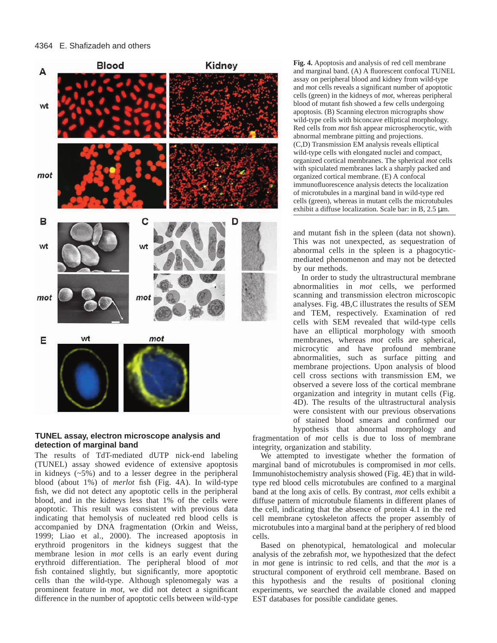

## **TUNEL assay, electron microscope analysis and detection of marginal band**

The results of TdT-mediated dUTP nick-end labeling (TUNEL) assay showed evidence of extensive apoptosis in kidneys  $(-5\%)$  and to a lesser degree in the peripheral blood (about 1%) of *merlot* fish (Fig. 4A). In wild-type fish, we did not detect any apoptotic cells in the peripheral blood, and in the kidneys less that 1% of the cells were apoptotic. This result was consistent with previous data indicating that hemolysis of nucleated red blood cells is accompanied by DNA fragmentation (Orkin and Weiss, 1999; Liao et al., 2000). The increased apoptosis in erythroid progenitors in the kidneys suggest that the membrane lesion in *mot* cells is an early event during erythroid differentiation. The peripheral blood of *mot* fish contained slightly, but significantly, more apoptotic cells than the wild-type. Although splenomegaly was a prominent feature in *mot*, we did not detect a significant difference in the number of apoptotic cells between wild-type

**Fig. 4.** Apoptosis and analysis of red cell membrane and marginal band. (A) A fluorescent confocal TUNEL assay on peripheral blood and kidney from wild-type and *mot* cells reveals a significant number of apoptotic cells (green) in the kidneys of *mot*, whereas peripheral blood of mutant fish showed a few cells undergoing apoptosis. (B) Scanning electron micrographs show wild-type cells with biconcave elliptical morphology. Red cells from *mot* fish appear microspherocytic, with abnormal membrane pitting and projections. (C,D) Transmission EM analysis reveals elliptical wild-type cells with elongated nuclei and compact, organized cortical membranes. The spherical *mot* cells with spiculated membranes lack a sharply packed and organized cortical membrane. (E) A confocal immunofluorescence analysis detects the localization of microtubules in a marginal band in wild-type red cells (green), whereas in mutant cells the microtubules exhibit a diffuse localization. Scale bar: in B, 2.5 µm.

and mutant fish in the spleen (data not shown). This was not unexpected, as sequestration of abnormal cells in the spleen is a phagocyticmediated phenomenon and may not be detected by our methods.

In order to study the ultrastructural membrane abnormalities in *mot* cells, we performed scanning and transmission electron microscopic analyses. Fig. 4B,C illustrates the results of SEM and TEM, respectively. Examination of red cells with SEM revealed that wild-type cells have an elliptical morphology with smooth membranes, whereas *mot* cells are spherical, microcytic and have profound membrane abnormalities, such as surface pitting and membrane projections. Upon analysis of blood cell cross sections with transmission EM, we observed a severe loss of the cortical membrane organization and integrity in mutant cells (Fig. 4D). The results of the ultrastructural analysis were consistent with our previous observations of stained blood smears and confirmed our hypothesis that abnormal morphology and

fragmentation of *mot* cells is due to loss of membrane integrity, organization and stability.

We attempted to investigate whether the formation of marginal band of microtubules is compromised in *mot* cells. Immunohistochemistry analysis showed (Fig. 4E) that in wildtype red blood cells microtubules are confined to a marginal band at the long axis of cells. By contrast, *mot* cells exhibit a diffuse pattern of microtubule filaments in different planes of the cell, indicating that the absence of protein 4.1 in the red cell membrane cytoskeleton affects the proper assembly of microtubules into a marginal band at the periphery of red blood cells.

Based on phenotypical, hematological and molecular analysis of the zebrafish *mot*, we hypothesized that the defect in *mot* gene is intrinsic to red cells, and that the *mot* is a structural component of erythroid cell membrane. Based on this hypothesis and the results of positional cloning experiments, we searched the available cloned and mapped EST databases for possible candidate genes.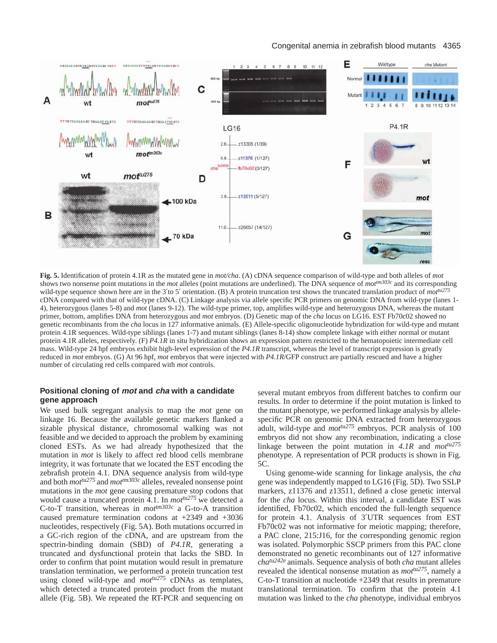

**Fig. 5.** Identification of protein 4.1R as the mutated gene in *mot/cha*. (A) cDNA sequence comparison of wild-type and both alleles of *mot* shows two nonsense point mutations in the *mot* alleles (point mutations are underlined). The DNA sequence of *mottm303c* and its corresponding wild-type sequence shown here are in the 3'to 5' orientation. (B) A protein truncation test shows the truncated translation product of *mot*<sup>tu275</sup> cDNA compared with that of wild-type cDNA. (C) Linkage analysis via allele specific PCR primers on genomic DNA from wild-type (lanes 1- 4), heterozygous (lanes 5-8) and *mot* (lanes 9-12). The wild-type primer, top, amplifies wild-type and heterozygous DNA, whereas the mutant primer, bottom, amplifies DNA from heterozygous and *mot* embryos. (D) Genetic map of the *cha* locus on LG16. EST Fb70c02 showed no genetic recombinants from the *cha* locus in 127 informative animals. (E) Allele-specific oligonucleotide hybridization for wild-type and mutant protein 4.1R sequences. Wild-type siblings (lanes 1-7) and mutant siblings (lanes 8-14) show complete linkage with either normal or mutant protein 4.1R alleles, respectively. (F) *P4.1R* in situ hybridization shows an expression pattern restricted to the hematopoietic intermediate cell mass. Wild-type 24 hpf embryos exhibit high-level expression of the *P4.1R* transcript, whereas the level of transcript expression is greatly reduced in *mot* embryos. (G) At 96 hpf, *mot* embryos that were injected with *P4.1R*/GFP construct are partially rescued and have a higher number of circulating red cells compared with *mot* controls.

# **Positional cloning of mot and cha with a candidate gene approach**

We used bulk segregant analysis to map the *mot* gene on linkage 16. Because the available genetic markers flanked a sizable physical distance, chromosomal walking was not feasible and we decided to approach the problem by examining cloned ESTs. As we had already hypothesized that the mutation in *mot* is likely to affect red blood cells membrane integrity, it was fortunate that we located the EST encoding the zebrafish protein 4.1. DNA sequence analysis from wild-type and both *mottu275* and *mottm303c* alleles, revealed nonsense point mutations in the *mot* gene causing premature stop codons that would cause a truncated protein 4.1. In *mottu275* we detected a C-to-T transition, whereas in *mottm303c* a G-to-A transition caused premature termination codons at +2349 and +3036 nucleotides, respectively (Fig. 5A). Both mutations occurred in a GC-rich region of the cDNA, and are upstream from the spectrin-binding domain (SBD) of *P4.1R*, generating a truncated and dysfunctional protein that lacks the SBD. In order to confirm that point mutation would result in premature translation termination, we performed a protein truncation test using cloned wild-type and  $mot^{tu275}$  cDNAs as templates, which detected a truncated protein product from the mutant allele (Fig. 5B). We repeated the RT-PCR and sequencing on several mutant embryos from different batches to confirm our results. In order to determine if the point mutation is linked to the mutant phenotype, we performed linkage analysis by allelespecific PCR on genomic DNA extracted from heterozygous adult, wild-type and *mottu275* embryos. PCR analysis of 100 embryos did not show any recombination, indicating a close linkage between the point mutation in *4.1R* and *mottu275* phenotype. A representation of PCR products is shown in Fig. 5C.

Using genome-wide scanning for linkage analysis, the *cha* gene was independently mapped to LG16 (Fig. 5D). Two SSLP markers, z11376 and z13511, defined a close genetic interval for the *cha* locus. Within this interval, a candidate EST was identified, Fb70c02, which encoded the full-length sequence for protein 4.1. Analysis of 3′UTR sequences from EST Fb70c02 was not informative for meiotic mapping; therefore, a PAC clone, 215:J16, for the corresponding genomic region was isolated. Polymorphic SSCP primers from this PAC clone demonstrated no genetic recombinants out of 127 informative *chatu242e* animals. Sequence analysis of both *cha* mutant alleles revealed the identical nonsense mutation as *mottu275*, namely a C-to-T transition at nucleotide +2349 that results in premature translational termination. To confirm that the protein 4.1 mutation was linked to the *cha* phenotype, individual embryos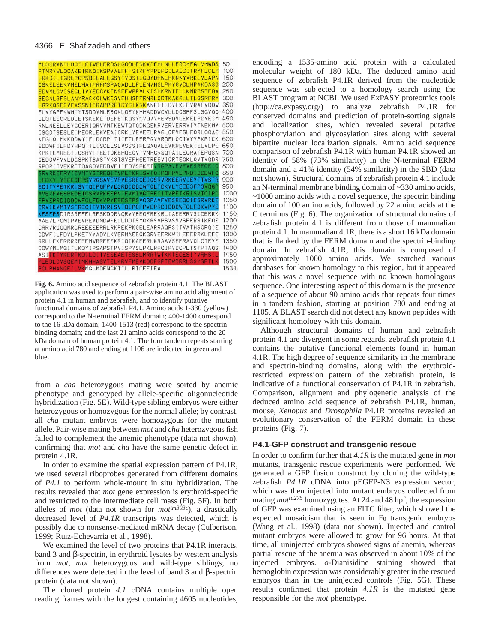

**Fig. 6.** Amino acid sequence of zebrafish protein 4.1. The BLAST application was used to perform a pair-wise amino acid alignment of protein 4.1 in human and zebrafish, and to identify putative functional domains of zebrafish P4.1. Amino acids 1-330 (yellow) correspond to the N-terminal FERM domain; 400-1400 correspond to the 16 kDa domain; 1400-1513 (red) correspond to the spectrin binding domain; and the last 21 amino acids correspond to the 20 kDa domain of human protein 4.1. The four tandem repeats starting at amino acid 780 and ending at 1106 are indicated in green and blue.

from a *cha* heterozygous mating were sorted by anemic phenotype and genotyped by allele-specific oligonucleotide hybridization (Fig. 5E). Wild-type sibling embryos were either heterozygous or homozygous for the normal allele; by contrast, all *cha* mutant embryos were homozygous for the mutant allele. Pair-wise mating between *mot* and *cha* heterozygous fish failed to complement the anemic phenotype (data not shown), confirming that *mot* and *cha* have the same genetic defect in protein 4.1R.

In order to examine the spatial expression pattern of P4.1R, we used several riboprobes generated from different domains of *P4.1* to perform whole-mount in situ hybridization. The results revealed that *mot* gene expression is erythroid-specific and restricted to the intermediate cell mass (Fig. 5F). In both alleles of *mot* (data not shown for  $mot^{tm303c}$ ), a drastically decreased level of *P4.1R* transcripts was detected, which is possibly due to nonsense-mediated mRNA decay (Culbertson, 1999; Ruiz-Echevarria et al., 1998).

We examined the level of two proteins that P4.1R interacts, band 3 and β-spectrin, in erythroid lysates by western analysis from *mot*, *mot* heterozygous and wild-type siblings; no differences were detected in the level of band 3 and β-spectrin protein (data not shown).

The cloned protein *4.1* cDNA contains multiple open reading frames with the longest containing 4605 nucleotides, encoding a 1535-amino acid protein with a calculated molecular weight of 180 kDa. The deduced amino acid sequence of zebrafish P4.1R derived from the nucleotide sequence was subjected to a homology search using the BLAST program at NCBI. We used ExPASY proteomics tools [\(http://ca.expasy.org/\)](http://ca.expasy.org/) to analyze zebrafish P4.1R for conserved domains and prediction of protein-sorting signals and localization sites, which revealed several putative phosphorylation and glycosylation sites along with several bipartite nuclear localization signals. Amino acid sequence comparison of zebrafish P4.1R with human P4.1R showed an identity of 58% (73% similarity) in the N-terminal FERM domain and a 41% identity (54% similarity) in the SBD (data not shown). Structural domains of zebrafish protein 4.1 include an N-terminal membrane binding domain of ~330 amino acids,  $\sim$ 1000 amino acids with a novel sequence, the spectrin binding domain of 100 amino acids, followed by 22 amino acids at the C terminus (Fig. 6). The organization of structural domains of zebrafish protein 4.1 is different from those of mammalian protein 4.1. In mammalian 4.1R, there is a short 16 kDa domain that is flanked by the FERM domain and the spectrin-binding domain. In zebrafish 4.1R, this domain is composed of approximately 1000 amino acids. We searched various databases for known homology to this region, but it appeared that this was a novel sequence with no known homologous sequence. One interesting aspect of this domain is the presence of a sequence of about 90 amino acids that repeats four times in a tandem fashion, starting at position 780 and ending at 1105. A BLAST search did not detect any known peptides with significant homology with this domain.

Although structural domains of human and zebrafish protein 4.1 are divergent in some regards, zebrafish protein 4.1 contains the putative functional elements found in human 4.1R. The high degree of sequence similarity in the membrane and spectrin-binding domains, along with the erythroidrestricted expression pattern of the zebrafish protein, is indicative of a functional conservation of P4.1R in zebrafish. Comparison, alignment and phylogenetic analysis of the deduced amino acid sequence of zebrafish P4.1R, human, mouse, *Xenopus* and *Drosophila* P4.1R proteins revealed an evolutionary conservation of the FERM domain in these proteins (Fig. 7).

#### **P4.1-GFP construct and transgenic rescue**

In order to confirm further that *4.1R* is the mutated gene in *mot* mutants, transgenic rescue experiments were performed. We generated a GFP fusion construct by cloning the wild-type zebrafish *P4.1R* cDNA into pEGFP-N3 expression vector, which was then injected into mutant embryos collected from mating *mottu275* homozygotes. At 24 and 48 hpf, the expression of GFP was examined using an FITC filter, which showed the expected mosaicism that is seen in  $F_0$  transgenic embryos (Wang et al., 1998) (data not shown). Injected and control mutant embryos were allowed to grow for 96 hours. At that time, all uninjected embryos showed signs of anemia, whereas partial rescue of the anemia was observed in about 10% of the injected embryos. *o*-Dianisidine staining showed that hemoglobin expression was considerably greater in the rescued embryos than in the uninjected controls (Fig. 5G). These results confirmed that protein *4.1R* is the mutated gene responsible for the *mot* phenotype.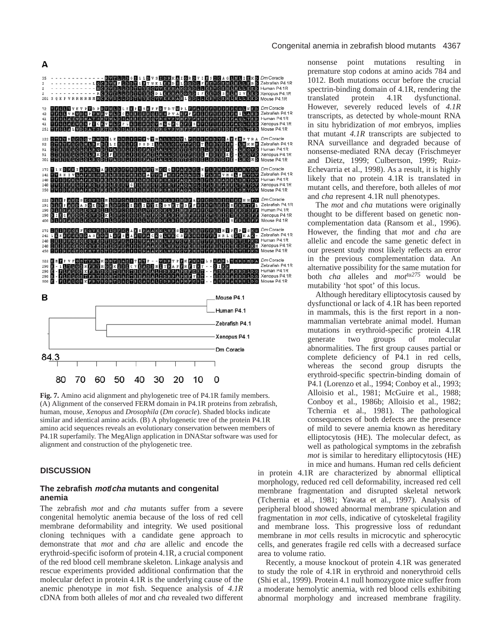

**Fig. 7.** Amino acid alignment and phylogenetic tree of P4.1R family members. (A) Alignment of the conserved FERM domain in P4.1R proteins from zebrafish, human, mouse, *Xenopus* and *Drosophila* (*Dm coracle*). Shaded blocks indicate similar and identical amino acids. (B) A phylogenetic tree of the protein P4.1R amino acid sequences reveals an evolutionary conservation between members of P4.1R superfamily. The MegAlign application in DNAStar software was used for alignment and construction of the phylogenetic tree.

#### **DISCUSSION**

# **The zebrafish mot/cha mutants and congenital anemia**

The zebrafish *mot* and *cha* mutants suffer from a severe congenital hemolytic anemia because of the loss of red cell membrane deformability and integrity. We used positional cloning techniques with a candidate gene approach to demonstrate that *mot* and *cha* are allelic and encode the erythroid-specific isoform of protein 4.1R, a crucial component of the red blood cell membrane skeleton. Linkage analysis and rescue experiments provided additional confirmation that the molecular defect in protein 4.1R is the underlying cause of the anemic phenotype in *mot* fish. Sequence analysis of *4.1R* cDNA from both alleles of *mot* and *cha* revealed two different

#### Congenital anemia in zebrafish blood mutants 4367

nonsense point mutations resulting in premature stop codons at amino acids 784 and 1012. Both mutations occur before the crucial spectrin-binding domain of 4.1R, rendering the translated protein 4.1R dysfunctional. However, severely reduced levels of *4.1R* transcripts, as detected by whole-mount RNA in situ hybridization of *mot* embryos, implies that mutant *4.1R* transcripts are subjected to RNA surveillance and degraded because of nonsense-mediated RNA decay (Frischmeyer and Dietz, 1999; Culbertson, 1999; Ruiz-Echevarria et al., 1998). As a result, it is highly likely that no protein 4.1R is translated in mutant cells, and therefore, both alleles of *mot* and *cha* represent 4.1R null phenotypes.

The *mot* and *cha* mutations were originally thought to be different based on genetic noncomplementation data (Ransom et al., 1996). However, the finding that *mot* and *cha* are allelic and encode the same genetic defect in our present study most likely reflects an error in the previous complementation data. An alternative possibility for the same mutation for both *cha* alleles and *mottu275* would be mutability 'hot spot' of this locus.

Although hereditary elliptocytosis caused by dysfunctional or lack of 4.1R has been reported in mammals, this is the first report in a nonmammalian vertebrate animal model. Human mutations in erythroid-specific protein 4.1R<br>generate two groups of molecular generate two groups of molecular abnormalities. The first group causes partial or complete deficiency of P4.1 in red cells, whereas the second group disrupts the erythroid-specific spectrin-binding domain of P4.1 (Lorenzo et al., 1994; Conboy et al., 1993; Alloisio et al., 1981; McGuire et al., 1988; Conboy et al., 1986b; Alloisio et al., 1982; Tchernia et al., 1981). The pathological consequences of both defects are the presence of mild to severe anemia known as hereditary elliptocytosis (HE). The molecular defect, as well as pathological symptoms in the zebrafish *mot* is similar to hereditary elliptocytosis (HE) in mice and humans. Human red cells deficient

in protein 4.1R are characterized by abnormal elliptical morphology, reduced red cell deformability, increased red cell membrane fragmentation and disrupted skeletal network (Tchernia et al., 1981; Yawata et al., 1997). Analysis of peripheral blood showed abnormal membrane spiculation and fragmentation in *mot* cells, indicative of cytoskeletal fragility and membrane loss. This progressive loss of redundant membrane in *mot* cells results in microcytic and spherocytic cells, and generates fragile red cells with a decreased surface area to volume ratio.

Recently, a mouse knockout of protein 4.1R was generated to study the role of 4.1R in erythroid and nonerythroid cells (Shi et al., 1999). Protein 4.1 null homozygote mice suffer from a moderate hemolytic anemia, with red blood cells exhibiting abnormal morphology and increased membrane fragility.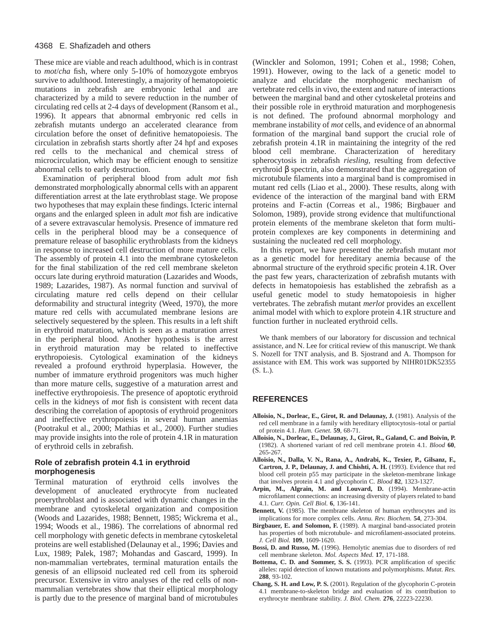These mice are viable and reach adulthood, which is in contrast to *mot*/*cha* fish, where only 5-10% of homozygote embryos survive to adulthood. Interestingly, a majority of hematopoietic mutations in zebrafish are embryonic lethal and are characterized by a mild to severe reduction in the number of circulating red cells at 2-4 days of development (Ransom et al., 1996). It appears that abnormal embryonic red cells in zebrafish mutants undergo an accelerated clearance from circulation before the onset of definitive hematopoiesis. The circulation in zebrafish starts shortly after 24 hpf and exposes red cells to the mechanical and chemical stress of microcirculation, which may be efficient enough to sensitize abnormal cells to early destruction.

Examination of peripheral blood from adult *mot* fish demonstrated morphologically abnormal cells with an apparent differentiation arrest at the late erythroblast stage. We propose two hypotheses that may explain these findings. Icteric internal organs and the enlarged spleen in adult *mot* fish are indicative of a severe extravascular hemolysis. Presence of immature red cells in the peripheral blood may be a consequence of premature release of basophilic erythroblasts from the kidneys in response to increased cell destruction of more mature cells. The assembly of protein 4.1 into the membrane cytoskeleton for the final stabilization of the red cell membrane skeleton occurs late during erythroid maturation (Lazarides and Woods, 1989; Lazarides, 1987). As normal function and survival of circulating mature red cells depend on their cellular deformability and structural integrity (Weed, 1970), the more mature red cells with accumulated membrane lesions are selectively sequestered by the spleen. This results in a left shift in erythroid maturation, which is seen as a maturation arrest in the peripheral blood. Another hypothesis is the arrest in erythroid maturation may be related to ineffective erythropoiesis. Cytological examination of the kidneys revealed a profound erythroid hyperplasia. However, the number of immature erythroid progenitors was much higher than more mature cells, suggestive of a maturation arrest and ineffective erythropoiesis. The presence of apoptotic erythroid cells in the kidneys of *mot* fish is consistent with recent data describing the correlation of apoptosis of erythroid progenitors and ineffective erythropoiesis in several human anemias (Pootrakul et al., 2000; Mathias et al., 2000). Further studies may provide insights into the role of protein 4.1R in maturation of erythroid cells in zebrafish.

# **Role of zebrafish protein 4.1 in erythroid morphogenesis**

Terminal maturation of erythroid cells involves the development of anucleated erythrocyte from nucleated proerythroblast and is associated with dynamic changes in the membrane and cytoskeletal organization and composition (Woods and Lazarides, 1988; Bennett, 1985; Wickrema et al., 1994; Woods et al., 1986). The correlations of abnormal red cell morphology with genetic defects in membrane cytoskeletal proteins are well established (Delaunay et al., 1996; Davies and Lux, 1989; Palek, 1987; Mohandas and Gascard, 1999). In non-mammalian vertebrates, terminal maturation entails the genesis of an ellipsoid nucleated red cell from its spheroid precursor. Extensive in vitro analyses of the red cells of nonmammalian vertebrates show that their elliptical morphology is partly due to the presence of marginal band of microtubules

(Winckler and Solomon, 1991; Cohen et al., 1998; Cohen, 1991). However, owing to the lack of a genetic model to analyze and elucidate the morphogenic mechanism of vertebrate red cells in vivo, the extent and nature of interactions between the marginal band and other cytoskeletal proteins and their possible role in erythroid maturation and morphogenesis is not defined. The profound abnormal morphology and membrane instability of *mot* cells, and evidence of an abnormal formation of the marginal band support the crucial role of zebrafish protein 4.1R in maintaining the integrity of the red blood cell membrane. Characterization of hereditary spherocytosis in zebrafish *riesling,* resulting from defective erythroid β spectrin, also demonstrated that the aggregation of microtubule filaments into a marginal band is compromised in mutant red cells (Liao et al., 2000). These results, along with evidence of the interaction of the marginal band with ERM proteins and F-actin (Correas et al., 1986; Birgbauer and Solomon, 1989), provide strong evidence that multifunctional protein elements of the membrane skeleton that form multiprotein complexes are key components in determining and sustaining the nucleated red cell morphology.

In this report, we have presented the zebrafish mutant *mot* as a genetic model for hereditary anemia because of the abnormal structure of the erythroid specific protein 4.1R. Over the past few years, characterization of zebrafish mutants with defects in hematopoiesis has established the zebrafish as a useful genetic model to study hematopoiesis in higher vertebrates. The zebrafish mutant *merlot* provides an excellent animal model with which to explore protein 4.1R structure and function further in nucleated erythroid cells.

We thank members of our laboratory for discussion and technical assistance, and N. Lee for critical review of this manuscript. We thank S. Nozell for TNT analysis, and B. Sjostrand and A. Thompson for assistance with EM. This work was supported by NIHR01DK52355 (S. L.).

# **REFERENCES**

- **Alloisio, N., Dorleac, E., Girot, R. and Delaunay, J.** (1981). Analysis of the red cell membrane in a family with hereditary elliptocytosis–total or partial of protein 4.1. *Hum. Genet.* **59**, 68-71.
- **Alloisio, N., Dorleac, E., Delaunay, J., Girot, R., Galand, C. and Boivin, P.** (1982). A shortened variant of red cell membrane protein 4.1. *Blood* **60**, 265-267.
- **Alloisio, N., Dalla, V. N., Rana, A., Andrabi, K., Texier, P., Gilsanz, F., Cartron, J. P., Delaunay, J. and Chishti, A. H.** (1993). Evidence that red blood cell protein p55 may participate in the skeleton-membrane linkage that involves protein 4.1 and glycophorin C. *Blood* **82**, 1323-1327.
- **Arpin, M., Algrain, M. and Louvard, D.** (1994). Membrane-actin microfilament connections: an increasing diversity of players related to band 4.1. *Curr. Opin. Cell Biol.* **6**, 136-141.
- **Bennett, V.** (1985). The membrane skeleton of human erythrocytes and its implications for more complex cells. *Annu. Rev. Biochem.* **54**, 273-304.
- **Birgbauer, E. and Solomon, F.** (1989). A marginal band-associated protein has properties of both microtubule- and microfilament-associated proteins. *J. Cell Biol.* **109**, 1609-1620.
- **Bossi, D. and Russo, M.** (1996). Hemolytic anemias due to disorders of red cell membrane skeleton. *Mol. Aspects Med.* **17**, 171-188.
- **Bottema, C. D. and Sommer, S. S.** (1993). PCR amplification of specific alleles: rapid detection of known mutations and polymorphisms. *Mutat. Res.* **288**, 93-102.
- **Chang, S. H. and Low, P. S.** (2001). Regulation of the glycophorin C-protein 4.1 membrane-to-skeleton bridge and evaluation of its contribution to erythrocyte membrane stability. *J. Biol. Chem.* **276**, 22223-22230.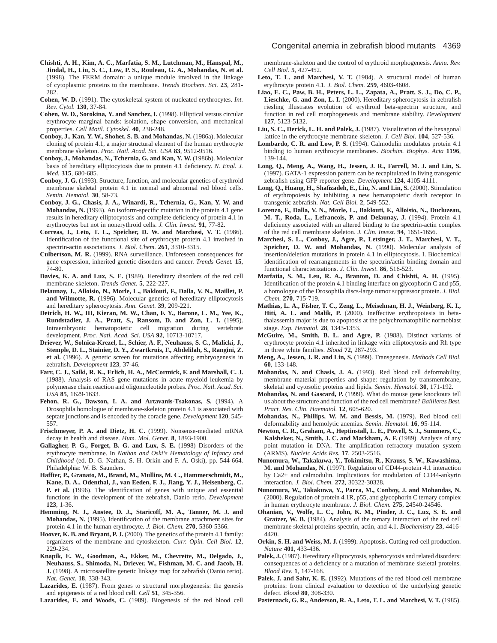- **Chishti, A. H., Kim, A. C., Marfatia, S. M., Lutchman, M., Hanspal, M., Jindal, H., Liu, S. C., Low, P. S., Rouleau, G. A., Mohandas, N. et al.** (1998). The FERM domain: a unique module involved in the linkage of cytoplasmic proteins to the membrane. *Trends Biochem. Sci.* **23**, 281- 282.
- **Cohen, W. D.** (1991). The cytoskeletal system of nucleated erythrocytes. *Int. Rev. Cytol.* **130**, 37-84.
- **Cohen, W. D., Sorokina, Y. and Sanchez, I.** (1998). Elliptical versus circular erythrocyte marginal bands: isolation, shape conversion, and mechanical properties. *Cell Motil. Cytoskel.* **40**, 238-248.
- **Conboy, J., Kan, Y. W., Shohet, S. B. and Mohandas, N.** (1986a). Molecular cloning of protein 4.1, a major structural element of the human erythrocyte membrane skeleton. *Proc. Natl. Acad. Sci. USA* **83**, 9512-9516.
- **Conboy, J., Mohandas, N., Tchernia, G. and Kan, Y. W.** (1986b). Molecular basis of hereditary elliptocytosis due to protein 4.1 deficiency. *N. Engl. J. Med.* **315**, 680-685.
- **Conboy, J. G.** (1993). Structure, function, and molecular genetics of erythroid membrane skeletal protein 4.1 in normal and abnormal red blood cells. *Semin. Hematol.* **30**, 58-73.
- **Conboy, J. G., Chasis, J. A., Winardi, R., Tchernia, G., Kan, Y. W. and Mohandas, N.** (1993). An isoform-specific mutation in the protein 4.1 gene results in hereditary elliptocytosis and complete deficiency of protein 4.1 in erythrocytes but not in nonerythroid cells. *J. Clin. Invest.* **91**, 77-82.
- **Correas, I., Leto, T. L., Speicher, D. W. and Marchesi, V. T.** (1986). Identification of the functional site of erythrocyte protein 4.1 involved in spectrin-actin associations. *J. Biol. Chem.* **261**, 3310-3315.
- **Culbertson, M. R.** (1999). RNA surveillance. Unforeseen consequences for gene expression, inherited genetic disorders and cancer. *Trends Genet.* **15**, 74-80.
- **Davies, K. A. and Lux, S. E.** (1989). Hereditary disorders of the red cell membrane skeleton. *Trends Genet.* **5**, 222-227.
- **Delaunay, J., Alloisio, N., Morle, L., Baklouti, F., Dalla, V. N., Maillet, P. and Wilmotte, R.** (1996). Molecular genetics of hereditary elliptocytosis and hereditary spherocytosis. *Ann. Genet.* **39**, 209-221.
- **Detrich, H. W., III, Kieran, M. W., Chan, F. Y., Barone, L. M., Yee, K., Rundstadler, J. A., Pratt, S., Ransom, D. and Zon, L. I.** (1995). Intraembryonic hematopoietic cell migration during vertebrate development. *Proc. Natl. Acad. Sci. USA* **92**, 10713-10717.
- **Driever, W., Solnica-Krezel, L., Schier, A. F., Neuhauss, S. C., Malicki, J., Stemple, D. L., Stainier, D. Y., Zwartkruis, F., Abdelilah, S., Rangini, Z. et al.** (1996). A genetic screen for mutations affecting embryogenesis in zebrafish. *Development* **123**, 37-46.
- **Farr, C. J., Saiki, R. K., Erlich, H. A., McCormick, F. and Marshall, C. J.** (1988). Analysis of RAS gene mutations in acute myeloid leukemia by polymerase chain reaction and oligonucleotide probes. *Proc. Natl. Acad. Sci. USA* **85**, 1629-1633.
- **Fehon, R. G., Dawson, I. A. and Artavanis-Tsakonas, S.** (1994). A Drosophila homologue of membrane-skeleton protein 4.1 is associated with septate junctions and is encoded by the coracle gene. *Development* **120**, 545- 557.
- **Frischmeyer, P. A. and Dietz, H. C.** (1999). Nonsense-mediated mRNA decay in health and disease. *Hum. Mol. Genet.* **8**, 1893-1900.
- **Gallagher, P. G., Forget, B. G. and Lux, S. E.** (1998) Disorders of the erythrocyte membrane. In *Nathan and Oski's Hematology of Infancy and Childhood* (ed. D. G. Nathan, S. H. Orkin and F. A. Oski), pp. 544-664. Philadelphia: W. B. Saunders.
- **Haffter, P., Granato, M., Brand, M., Mullins, M. C., Hammerschmidt, M., Kane, D. A., Odenthal, J., van Eeden, F. J., Jiang, Y. J., Heisenberg, C. P. et al.** (1996). The identification of genes with unique and essential functions in the development of the zebrafish, Danio rerio. *Development* **123**, 1-36.
- **Hemming, N. J., Anstee, D. J., Staricoff, M. A., Tanner, M. J. and Mohandas, N.** (1995). Identification of the membrane attachment sites for protein 4.1 in the human erythrocyte. *J. Biol. Chem.* **270**, 5360-5366.
- **Hoover, K. B. and Bryant, P. J.** (2000). The genetics of the protein 4.1 family: organizers of the membrane and cytoskeleton. *Curr. Opin. Cell Biol.* **12**, 229-234.
- **Knapik, E. W., Goodman, A., Ekker, M., Chevrette, M., Delgado, J., Neuhauss, S., Shimoda, N., Driever, W., Fishman, M. C. and Jacob, H. J.** (1998). A microsatellite genetic linkage map for zebrafish (Danio rerio). *Nat. Genet.* **18**, 338-343.
- Lazarides, E. (1987). From genes to structural morphogenesis: the genesis and epigenesis of a red blood cell. *Cell* **51**, 345-356.

**Lazarides, E. and Woods, C.** (1989). Biogenesis of the red blood cell

membrane-skeleton and the control of erythroid morphogenesis. *Annu. Rev. Cell Biol.* **5**, 427-452.

- **Leto, T. L. and Marchesi, V. T.** (1984). A structural model of human erythrocyte protein 4.1. *J. Biol. Chem.* **259**, 4603-4608.
- **Liao, E. C., Paw, B. H., Peters, L. L., Zapata, A., Pratt, S. J., Do, C. P., Lieschke, G. and Zon, L. I.** (2000). Hereditary spherocytosis in zebrafish riesling illustrates evolution of erythroid beta-spectrin structure, and function in red cell morphogenesis and membrane stability. *Development* **127**, 5123-5132.
- **Liu, S. C., Derick, L. H. and Palek, J.** (1987). Visualization of the hexagonal lattice in the erythrocyte membrane skeleton. *J. Cell Biol.* **104**, 527-536.
- **Lombardo, C. R. and Low, P. S.** (1994). Calmodulin modulates protein 4.1 binding to human erythrocyte membranes. *Biochim. Biophys. Acta* **1196**, 139-144.
- **Long, Q., Meng, A., Wang, H., Jessen, J. R., Farrell, M. J. and Lin, S.** (1997). GATA-1 expression pattern can be recapitulated in living transgenic zebrafish using GFP reporter gene. *Development* **124**, 4105-4111.
- **Long, Q., Huang, H., Shafizadeh, E., Liu, N. and Lin, S.** (2000). Stimulation of erythropoiesis by inhibiting a new hematopoietic death receptor in transgenic zebrafish. *Nat. Cell Biol.* **2**, 549-552.
- **Lorenzo, F., Dalla, V. N., Morle, L., Baklouti, F., Alloisio, N., Ducluzeau, M. T., Roda, L., Lefrancois, P. and Delaunay, J.** (1994). Protein 4.1 deficiency associated with an altered binding to the spectrin-actin complex of the red cell membrane skeleton. *J. Clin. Invest.* **94**, 1651-1656.
- **Marchesi, S. L., Conboy, J., Agre, P., Letsinger, J. T., Marchesi, V. T., Speicher, D. W. and Mohandas, N.** (1990). Molecular analysis of insertion/deletion mutations in protein 4.1 in elliptocytosis. I. Biochemical identification of rearrangements in the spectrin/actin binding domain and functional characterizations. *J. Clin. Invest.* **86**, 516-523.
- **Marfatia, S. M., Leu, R. A., Branton, D. and Chishti, A. H.** (1995). Identification of the protein 4.1 binding interface on glycophorin C and p55, a homologue of the Drosophila discs-large tumor suppressor protein. *J. Biol. Chem.* **270**, 715-719.
- **Mathias, L. A., Fisher, T. C., Zeng, L., Meiselman, H. J., Weinberg, K. I., Hiti, A. L. and Malik, P.** (2000). Ineffective erythropoiesis in betathalassemia major is due to apoptosis at the polychromatophilic normoblast stage. *Exp. Hematol.* **28**, 1343-1353.
- **McGuire, M., Smith, B. L. and Agre, P.** (1988). Distinct variants of erythrocyte protein 4.1 inherited in linkage with elliptocytosis and Rh type in three white families. *Blood* **72**, 287-293.
- **Meng, A., Jessen, J. R. and Lin, S.** (1999). Transgenesis. *Methods Cell Biol.* **60**, 133-148.
- **Mohandas, N. and Chasis, J. A.** (1993). Red blood cell deformability, membrane material properties and shape: regulation by transmembrane, skeletal and cytosolic proteins and lipids. *Semin. Hematol.* **30**, 171-192.
- **Mohandas, N. and Gascard, P.** (1999). What do mouse gene knockouts tell us about the structure and function of the red cell membrane? *Baillieres Best. Pract. Res. Clin. Haematol.* **12**, 605-620.
- **Mohandas, N., Phillips, W. M. and Bessis, M.** (1979). Red blood cell deformability and hemolytic anemias. *Semin. Hematol.* **16**, 95-114.
- **Newton, C. R., Graham, A., Heptinstall, L. E., Powell, S. J., Summers, C., Kalsheker, N., Smith, J. C. and Markham, A. F.** (1989). Analysis of any point mutation in DNA. The amplification refractory mutation system (ARMS). *Nucleic Acids Res.* **17**, 2503-2516.
- **Nunomura, W., Takakuwa, Y., Tokimitsu, R., Krauss, S. W., Kawashima, M. and Mohandas, N.** (1997). Regulation of CD44-protein 4.1 interaction by Ca2+ and calmodulin. Implications for modulation of CD44-ankyrin interaction. *J. Biol. Chem.* **272**, 30322-30328.
- **Nunomura, W., Takakuwa, Y., Parra, M., Conboy, J. and Mohandas, N.** (2000). Regulation of protein 4.1R, p55, and glycophorin C ternary complex in human erythrocyte membrane. *J. Biol. Chem.* **275**, 24540-24546.
- **Ohanian, V., Wolfe, L. C., John, K. M., Pinder, J. C., Lux, S. E. and Gratzer, W. B.** (1984). Analysis of the ternary interaction of the red cell membrane skeletal proteins spectrin, actin, and 4.1. *Biochemistry* **23**, 4416- 4420.
- **Orkin, S. H. and Weiss, M. J.** (1999). Apoptosis. Cutting red-cell production. *Nature* **401**, 433-436.
- Palek, J. (1987). Hereditary elliptocytosis, spherocytosis and related disorders: consequences of a deficiency or a mutation of membrane skeletal proteins. *Blood Rev.* **1**, 147-168.
- Palek, J. and Sahr, K. E. (1992). Mutations of the red blood cell membrane proteins: from clinical evaluation to detection of the underlying genetic defect. *Blood* **80**, 308-330.
- **Pasternack, G. R., Anderson, R. A., Leto, T. L. and Marchesi, V. T.** (1985).